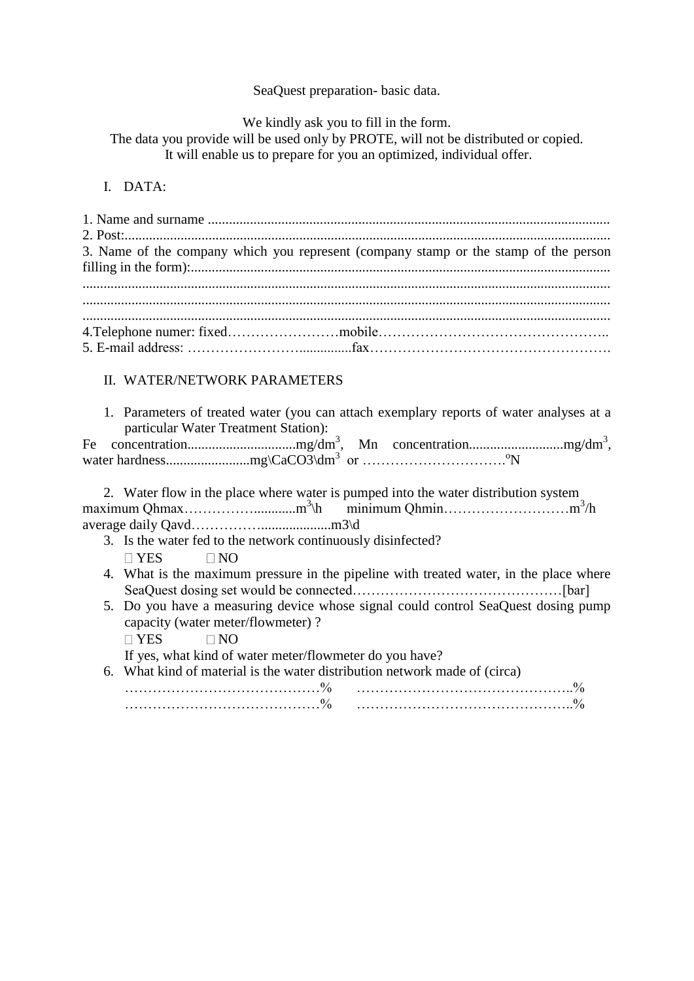## SeaQuest preparation- basic data.

We kindly ask you to fill in the form.

The data you provide will be used only by PROTE, will not be distributed or copied.

It will enable us to prepare for you an optimized, individual offer.

## I. DATA:

| 3. Name of the company which you represent (company stamp or the stamp of the person |
|--------------------------------------------------------------------------------------|
|                                                                                      |
|                                                                                      |
|                                                                                      |
|                                                                                      |
|                                                                                      |
|                                                                                      |

## II. WATER/NETWORK PARAMETERS

1. Parameters of treated water (you can attach exemplary reports of water analyses at a particular Water Treatment Station):

2. Water flow in the place where water is pumped into the water distribution system maximum Qhmax……………............m<sup>3</sup> \h minimum Qhmin………………………m 3 /h average daily Qavd……………....................m3\d

- 3. Is the water fed to the network continuously disinfected?  $\Box$  YES  $\Box$  NO
- 4. What is the maximum pressure in the pipeline with treated water, in the place where SeaQuest dosing set would be connected………………………………………[bar]
- 5. Do you have a measuring device whose signal could control SeaQuest dosing pump capacity (water meter/flowmeter) ?  $\Box$  YES  $\Box$  NO If yes, what kind of water meter/flowmeter do you have? 6. What kind of material is the water distribution network made of (circa)